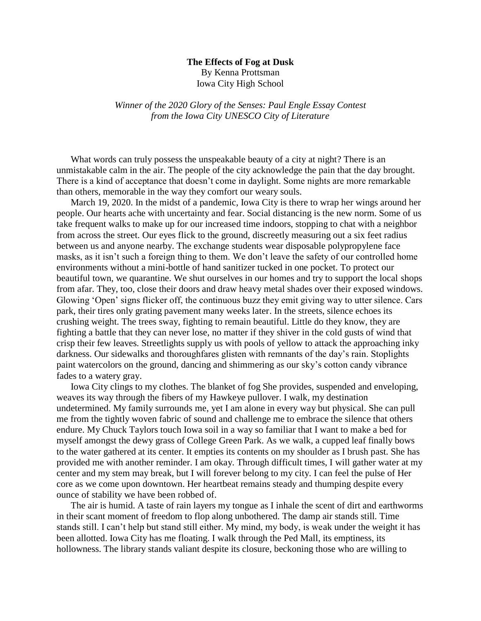## **The Effects of Fog at Dusk** By Kenna Prottsman Iowa City High School

*Winner of the 2020 Glory of the Senses: Paul Engle Essay Contest from the Iowa City UNESCO City of Literature*

What words can truly possess the unspeakable beauty of a city at night? There is an unmistakable calm in the air. The people of the city acknowledge the pain that the day brought. There is a kind of acceptance that doesn't come in daylight. Some nights are more remarkable than others, memorable in the way they comfort our weary souls.

March 19, 2020. In the midst of a pandemic, Iowa City is there to wrap her wings around her people. Our hearts ache with uncertainty and fear. Social distancing is the new norm. Some of us take frequent walks to make up for our increased time indoors, stopping to chat with a neighbor from across the street. Our eyes flick to the ground, discreetly measuring out a six feet radius between us and anyone nearby. The exchange students wear disposable polypropylene face masks, as it isn't such a foreign thing to them. We don't leave the safety of our controlled home environments without a mini-bottle of hand sanitizer tucked in one pocket. To protect our beautiful town, we quarantine. We shut ourselves in our homes and try to support the local shops from afar. They, too, close their doors and draw heavy metal shades over their exposed windows. Glowing 'Open' signs flicker off, the continuous buzz they emit giving way to utter silence. Cars park, their tires only grating pavement many weeks later. In the streets, silence echoes its crushing weight. The trees sway, fighting to remain beautiful. Little do they know, they are fighting a battle that they can never lose, no matter if they shiver in the cold gusts of wind that crisp their few leaves. Streetlights supply us with pools of yellow to attack the approaching inky darkness. Our sidewalks and thoroughfares glisten with remnants of the day's rain. Stoplights paint watercolors on the ground, dancing and shimmering as our sky's cotton candy vibrance fades to a watery gray.

Iowa City clings to my clothes. The blanket of fog She provides, suspended and enveloping, weaves its way through the fibers of my Hawkeye pullover. I walk, my destination undetermined. My family surrounds me, yet I am alone in every way but physical. She can pull me from the tightly woven fabric of sound and challenge me to embrace the silence that others endure. My Chuck Taylors touch Iowa soil in a way so familiar that I want to make a bed for myself amongst the dewy grass of College Green Park. As we walk, a cupped leaf finally bows to the water gathered at its center. It empties its contents on my shoulder as I brush past. She has provided me with another reminder. I am okay. Through difficult times, I will gather water at my center and my stem may break, but I will forever belong to my city. I can feel the pulse of Her core as we come upon downtown. Her heartbeat remains steady and thumping despite every ounce of stability we have been robbed of.

The air is humid. A taste of rain layers my tongue as I inhale the scent of dirt and earthworms in their scant moment of freedom to flop along unbothered. The damp air stands still. Time stands still. I can't help but stand still either. My mind, my body, is weak under the weight it has been allotted. Iowa City has me floating. I walk through the Ped Mall, its emptiness, its hollowness. The library stands valiant despite its closure, beckoning those who are willing to